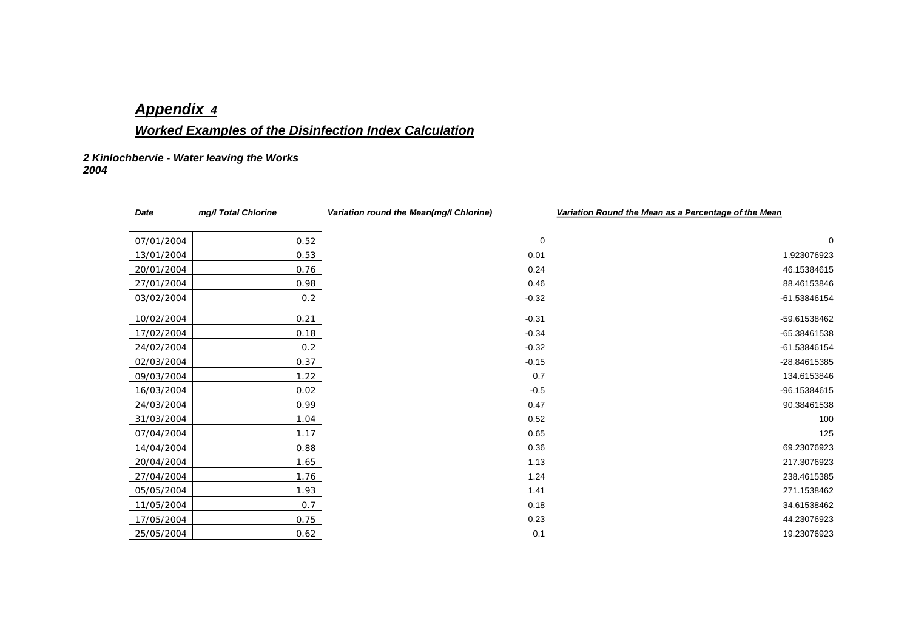# *Appendix 4*

# *Worked Examples of the Disinfection Index Calculation*

*2 Kinlochbervie - Water leaving the Works 2004* 

| <b>Date</b> | mg/l Total Chlorine | Variation round the Mean(mg/l Chlorine) | Variation Round the Mean as a Percentage of the Mean |
|-------------|---------------------|-----------------------------------------|------------------------------------------------------|
|             |                     |                                         |                                                      |
| 07/01/2004  | 0.52                | $\mathbf 0$                             | $\mathbf 0$                                          |
| 13/01/2004  | 0.53                | 0.01                                    | 1.923076923                                          |
| 20/01/2004  | 0.76                | 0.24                                    | 46.15384615                                          |
| 27/01/2004  | 0.98                | 0.46                                    | 88.46153846                                          |
| 03/02/2004  | 0.2                 | $-0.32$                                 | -61.53846154                                         |
| 10/02/2004  | 0.21                | $-0.31$                                 | -59.61538462                                         |
| 17/02/2004  | 0.18                | $-0.34$                                 | -65.38461538                                         |
| 24/02/2004  | 0.2                 | $-0.32$                                 | -61.53846154                                         |
| 02/03/2004  | 0.37                | $-0.15$                                 | -28.84615385                                         |
| 09/03/2004  | 1.22                | 0.7                                     | 134.6153846                                          |
|             |                     | $-0.5$                                  | -96.15384615                                         |
| 16/03/2004  | 0.02                |                                         |                                                      |
| 24/03/2004  | 0.99                | 0.47                                    | 90.38461538                                          |
| 31/03/2004  | 1.04                | 0.52                                    | 100                                                  |
| 07/04/2004  | 1.17                | 0.65                                    | 125                                                  |
| 14/04/2004  | 0.88                | 0.36                                    | 69.23076923                                          |
| 20/04/2004  | 1.65                | 1.13                                    | 217.3076923                                          |
| 27/04/2004  | 1.76                | 1.24                                    | 238.4615385                                          |
| 05/05/2004  | 1.93                | 1.41                                    | 271.1538462                                          |
| 11/05/2004  | 0.7                 | 0.18                                    | 34.61538462                                          |
| 17/05/2004  | 0.75                | 0.23                                    | 44.23076923                                          |
|             |                     |                                         |                                                      |

25/05/2004 0.62 0.1 19.23076923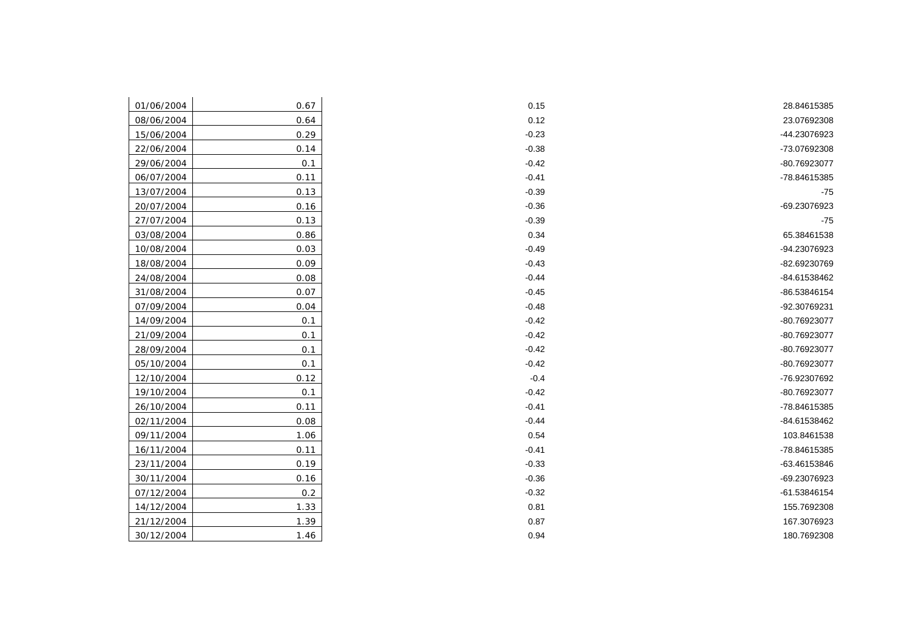| 01/06/2004 | 0.67 |
|------------|------|
| 08/06/2004 | 0.64 |
| 15/06/2004 | 0.29 |
| 22/06/2004 | 0.14 |
| 29/06/2004 | 0.1  |
| 06/07/2004 | 0.11 |
| 13/07/2004 | 0.13 |
| 20/07/2004 | 0.16 |
| 27/07/2004 | 0.13 |
| 03/08/2004 | 0.86 |
| 10/08/2004 | 0.03 |
| 18/08/2004 | 0.09 |
| 24/08/2004 | 0.08 |
| 31/08/2004 | 0.07 |
| 07/09/2004 | 0.04 |
| 14/09/2004 | 0.1  |
| 21/09/2004 | 0.1  |
| 28/09/2004 | 0.1  |
| 05/10/2004 | 0.1  |
| 12/10/2004 | 0.12 |
| 19/10/2004 | 0.1  |
| 26/10/2004 | 0.11 |
| 02/11/2004 | 0.08 |
| 09/11/2004 | 1.06 |
| 16/11/2004 | 0.11 |
| 23/11/2004 | 0.19 |
| 30/11/2004 | 0.16 |
| 07/12/2004 | 0.2  |
| 14/12/2004 | 1.33 |
| 21/12/2004 | 1.39 |
| 30/12/2004 | 1.46 |

| 28.84615385  | 0.15    | 0.67 | 01/06/2004 |
|--------------|---------|------|------------|
| 23.07692308  | 0.12    | 0.64 | 08/06/2004 |
| -44.23076923 | $-0.23$ | 0.29 | 15/06/2004 |
| -73.07692308 | $-0.38$ | 0.14 | 22/06/2004 |
| -80.76923077 | $-0.42$ | 0.1  | 29/06/2004 |
| -78.84615385 | $-0.41$ | 0.11 | 06/07/2004 |
| $-75$        | $-0.39$ | 0.13 | 13/07/2004 |
| -69.23076923 | $-0.36$ | 0.16 | 20/07/2004 |
| $-75$        | $-0.39$ | 0.13 | 27/07/2004 |
| 65.38461538  | 0.34    | 0.86 | 03/08/2004 |
| -94.23076923 | $-0.49$ | 0.03 | 10/08/2004 |
| -82.69230769 | $-0.43$ | 0.09 | 18/08/2004 |
| -84.61538462 | $-0.44$ | 0.08 | 24/08/2004 |
| -86.53846154 | $-0.45$ | 0.07 | 31/08/2004 |
| -92.30769231 | $-0.48$ | 0.04 | 07/09/2004 |
| -80.76923077 | $-0.42$ | 0.1  | 14/09/2004 |
| -80.76923077 | $-0.42$ | 0.1  | 21/09/2004 |
| -80.76923077 | $-0.42$ | 0.1  | 28/09/2004 |
| -80.76923077 | $-0.42$ | 0.1  | 05/10/2004 |
| -76.92307692 | $-0.4$  | 0.12 | 12/10/2004 |
| -80.76923077 | $-0.42$ | 0.1  | 19/10/2004 |
| -78.84615385 | $-0.41$ | 0.11 | 26/10/2004 |
| -84.61538462 | $-0.44$ | 0.08 | 02/11/2004 |
| 103.8461538  | 0.54    | 1.06 | 09/11/2004 |
| -78.84615385 | $-0.41$ | 0.11 | 16/11/2004 |
| -63.46153846 | $-0.33$ | 0.19 | 23/11/2004 |
| -69.23076923 | $-0.36$ | 0.16 | 30/11/2004 |
| -61.53846154 | $-0.32$ | 0.2  | 07/12/2004 |
| 155.7692308  | 0.81    | 1.33 | 14/12/2004 |
| 167.3076923  | 0.87    | 1.39 | 21/12/2004 |
| 180.7692308  | 0.94    | 1.46 | 30/12/2004 |
|              |         |      |            |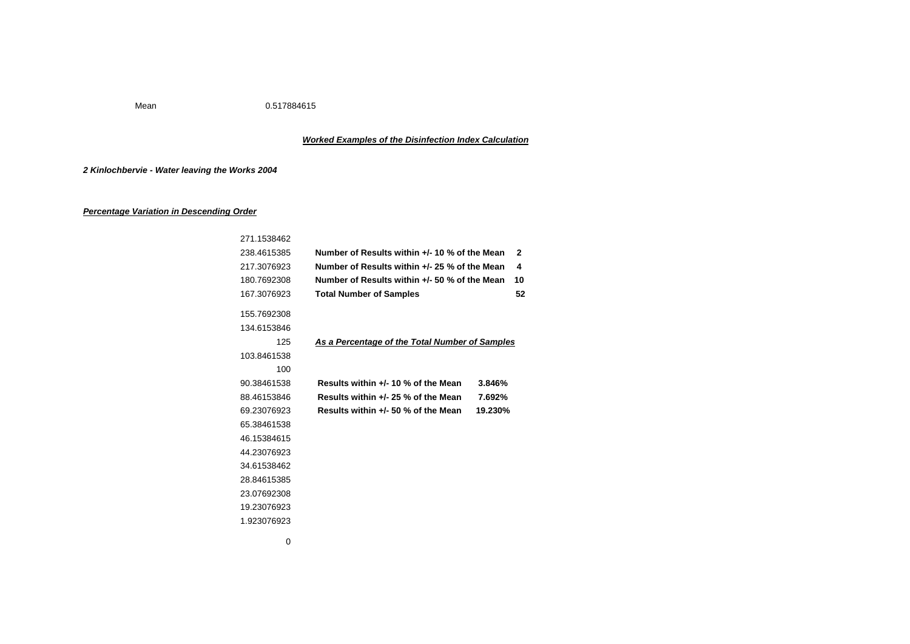Mean 0.517884615

## *Worked Examples of the Disinfection Index Calculation*

## *2 Kinlochbervie - Water leaving the Works 2004*

## *Percentage Variation in Descending Order*

| 271.1538462                                                  |                                     |         |              |
|--------------------------------------------------------------|-------------------------------------|---------|--------------|
| 238.4615385<br>Number of Results within +/- 10 % of the Mean |                                     |         | $\mathbf{2}$ |
| Number of Results within +/- 25 % of the Mean<br>217.3076923 |                                     |         | 4            |
| Number of Results within +/- 50 % of the Mean<br>180.7692308 |                                     |         | 10           |
| 167.3076923                                                  | <b>Total Number of Samples</b>      |         | 52           |
| 155.7692308                                                  |                                     |         |              |
| 134.6153846                                                  |                                     |         |              |
| 125<br>As a Percentage of the Total Number of Samples        |                                     |         |              |
| 103.8461538                                                  |                                     |         |              |
| 100                                                          |                                     |         |              |
| 90.38461538                                                  | Results within +/- 10 % of the Mean | 3.846%  |              |
| 88.46153846                                                  | Results within +/- 25 % of the Mean | 7.692%  |              |
| 69.23076923                                                  | Results within +/- 50 % of the Mean | 19.230% |              |
| 65.38461538                                                  |                                     |         |              |
| 46.15384615                                                  |                                     |         |              |
| 44.23076923                                                  |                                     |         |              |
| 34.61538462                                                  |                                     |         |              |
| 28.84615385                                                  |                                     |         |              |
| 23.07692308                                                  |                                     |         |              |
| 19.23076923                                                  |                                     |         |              |
| 1.923076923                                                  |                                     |         |              |
| 0                                                            |                                     |         |              |